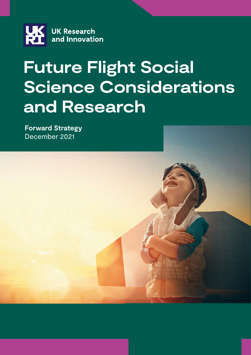

# **Future Flight Social Science Considerations and Research**

**Forward Strategy**  December 2021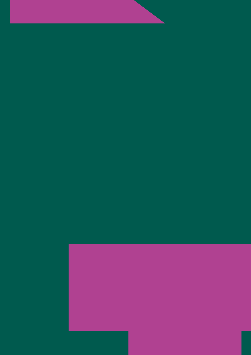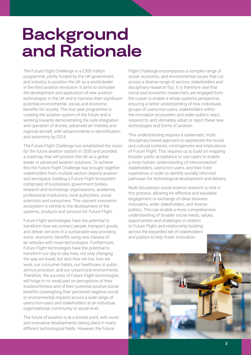# **Background and Rationale**

The Future Flight Challenge is a £300 million programme, jointly funded by the UK government and industry, to position the UK as a world-leader in the third aviation revolution. It aims to stimulate the development and application of new aviation technologies in the UK and to harness their significant potential environmental, social, and economic benefits for society. The four-year programme is creating the aviation system of the future and is working towards demonstrating the safe integration and operation of drones, advanced air mobility and regional aircraft, with advancements in electrification and autonomy by 2024.

The Future Flight Challenge has established the vision for the future aviation system in 2030 and provided a roadmap that will position the UK as a global leader in advanced aviation solutions. To achieve this the Future Flight Challenge has brought together stakeholders from multiple sectors beyond aviation and aerospace, building a Future Flight ecosystem comprised of businesses, government bodies, research and technology organisations, academia, professional institutions, local authorities, social scientists and consumers. This nascent innovation ecosystem is central to the development of the systems, products and services for Future Flight.

Future Flight technologies have the potential to transform how we connect people, transport goods, and deliver services in a sustainable way providing socio- economic benefits using new classes of air vehicles with novel technologies. Furthermore, Future Flight technologies have the potential to transform our day-to-day lives, not only changing the way we travel, but also how we live, how we work, our consumer habits, our healthcare or public service provision, and our urban/rural environments. Therefore, the success of Future Flight technologies will hinge in no small part on perceptions of their trustworthiness and of their potential positive social benefits outweighing their perceived negative social or environmental impacts across a wide range of users/non-users and stakeholders at an individual, organisational, community or social level.

The future of aviation is at a pivotal point, with novel and innovative developments taking place in many different technological fields. However, the Future

Flight Challenge encompasses a complex range of social, economic, and environmental issues that cut across a diverse range of sectors, stakeholders and disciplinary research foci. It is therefore vital that social and economic researchers are engaged from the outset to enable a whole systems perspective, ensuring a better understanding of how individuals, groups of users/non-users, stakeholders within the innovation ecosystem and wider publics react, respond to, and ultimately adopt or reject these new technologies and forms of aviation.

This understanding requires a systematic, multidisciplinary based approach to appreciate the social and cultural contexts, contingencies and implications of Future Flight. This requires us to build on mapping broader public acceptance or use cases to enable a more holistic understanding of interconnected stakeholders, users/non-users, and their lived experience, in order to identify socially informed pathways for technological development and delivery.

Multi-disciplinary social science research is vital in this process, allowing for effective and equitable engagement or exchange of ideas between innovators, wider stakeholders, and diverse publics. This can enable a more comprehensive understanding of broader social needs, values, opportunities and challenges in relation to Future Flight, and relationship building across the expanded set of stakeholders and publics to help foster innovation.

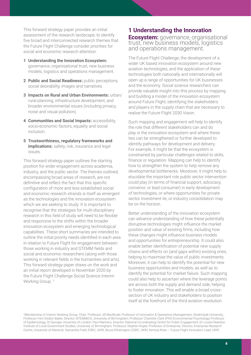This forward strategy paper provides an initial assessment of the research landscape, to identify five broad and interconnected research themes that the Future Flight Challenge consider priorities for social and economic research attention.

- **1 Understanding the Innovation Ecosystem:**  governance, organisational trust, new business models, logistics and operations management.
- **2 Public and Social Readiness:** public perceptions, social desirability, images and narratives.
- **3 Impacts on Rural and Urban Environments:** urban/ rural planning, infrastructure development, and broader environmental issues (including privacy, noise and visual pollution).
- **4 Communities and Social Impacts:** accessibility, socio-economic factors, equality and social inclusion.
- **5 Trustworthiness, regulatory frameworks and implications:** safety, risk, insurance and legal issues.

This forward strategy paper outlines the starting position for wider engagement across academia, industry, and the public sector. The themes outlined, encompassing broad areas of research, are not definitive and reflect the fact that this specific configuration of more and less established social and economic research strands is itself as emergent as the technologies and the innovation ecosystem which we are seeking to study. It is important to recognise that the strategies for multi-disciplinary research in this field of study will need to be flexible and responsive to the shifts within the broader innovation ecosystem and emerging technological capabilities. These short summaries are intended to outline the initial priority needs identified in each area in relation to Future Flight for engagement between those working in industry and STEMM fields and social and economic researchers (along with those working in relevant fields in the humanities and arts). This forward strategy paper draws on the work and an initial report developed in November 2020 by the Future Flight Challenge Social Science Interim Working Group.<sup>1</sup>

### **1 Understanding the Innovation**

**Ecosystem:** governance, organisational trust, new business models, logistics and operations management.

The Future Flight Challenge, the development of a wider UK based innovation ecosystem around new aviation technologies, and the application of these technologies both nationally and internationally will open up a range of opportunities for UK businesses and the economy. Social science researchers can provide valuable insight into this process by mapping and building a model of the innovation ecosystem around Future Flight, identifying the stakeholders and players in the supply chain that are necessary to realise the Future Flight 2030 Vision.

Such mapping and engagement will help to identify the role that different stakeholders can and do play in the innovation ecosystem and where these ties can be strengthened or further developed to identify pathways for development and delivery. For example, it might be that the ecosystem is constrained by particular challenges related to skills, finance or regulation. Mapping can help to identify how to strengthen the system to help remove any developmental bottlenecks. Moreover, it might help to elucidate the important role public sector intervention could play (in terms of financial support, advocacy, convenor, or lead consumer) in early development of technologies, or where opportunities for private sector investment lie, or industry consolidation may be on the horizon.

Better understanding of the innovation ecosystem can advance understanding of how these potentially disruptive technologies might influence the market position and value of existing firms, including how these changes might influence business models and opportunities for entrepreneurship. It could also enable better identification of potential new supply chains and effects on (and gaps within) existing ones, helping to maximise the value of public investments. Moreover, it can help to identify the potential for new business opportunities and models, as well as to identify the potential for market failure. Such mapping could also help to ascertain where the leverage points are across both the supply and demand side, helping to foster innovation. This will enable a broad crosssection of UK industry and stakeholders to position itself at the forefront of the third aviation revolution.

<sup>1</sup>Membership of Interim Working Group: Chair: Professor Jill MacBryde, Professor of Innovation & Operations Management, Strathclyde University; Professor Fern Elsdon-Baker, Director ISTEMMiCS, University of Birmingham; Professor Charlotte Clark (PhD Environmental Psychology) Professor of Epidemiology, St Georges University of London; Paul Manners, Director, National Co-ordinating Centre for Public Engagement; Dr Louise Reardon, Institute of Local Government Studies, University of Birmingham; Professor Stephen Roper, Professor of Enterprise, Director, Enterprise Research Centre, University of Warwick; Samantha Field, ESRC, UKRI; Bruce Etherington, ESRC, UKRI; Kerissa Khan – Future Flight Innovation Lead, UKRI.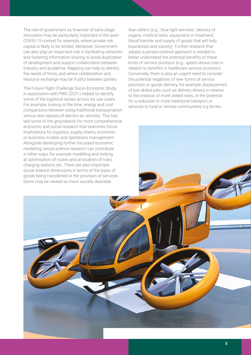The role of government as financier of early-stage innovation may be particularly important in the post-COVID-19 context for example, where private risk capital is likely to be limited. Moreover, Government can also play an important role in facilitating networks and fostering information sharing to avoid duplication of development and support collaboration between industry and academia. Mapping can help to identify the needs of firms, and where collaboration and resource exchange may be fruitful between parties.

The Future Flight Challenge Socio-Economic Study in association with PWC (2021) helped to identify some of the logistical issues across six use cases. For example, looking at the time, energy and cost comparisons between using traditional transportation versus new classes of electric air vehicles. This has laid some of the groundwork for more comprehensive economic and social research that examines future implications for logistics, supply chains, economic or business models and operations management. Alongside developing further focussed economic modelling, social science research can contribute in other ways, for example modelling and looking at optimisation of routes and at location of hubs, charging stations etc. There are also important social science dimensions in terms of the types of goods being transferred or the provision of services. Some may be viewed as more socially desirable

than others (e.g., 'blue light services', delivery of organs, medical tests, equipment or treatment, blood transfer and supply of goods that will help businesses and society). Further research that adopts a person-centred approach is needed to better understand the potential benefits of these kinds of service provision (e.g., speed versus cost in relation to benefits in healthcare service provision). Conversely, there is also an urgent need to consider the potential negatives of new forms of service provision or goods delivery, for example displacement of low skilled jobs such as delivery drivers in relation to the creation of more skilled roles, or the potential for a reduction in more traditional transport or services to rural or remote communities e.g ferries.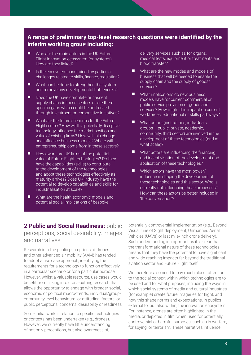### **A range of preliminary top-level research questions were identified by the interim working grouP including:**

- Who are the main actors in the UK Future Flight innovation ecosystem (or systems). How are they linked?
- $\blacksquare$  Is the ecosystem constrained by particular challenges related to skills, finance, regulation?
- $\blacksquare$  What can be done to strengthen the system and remove any developmental bottlenecks?
- Does the UK have complete or nascent supply chains in these sectors or are there specific gaps which could be addressed through investment or competitive initiatives?
- What are the future scenarios for the Future Flight sectors? How will this potentially disruptive technology influence the market position and value of existing firms? How will this change and influence business models? Where will entrepreneurship come from in these sectors?
- How aware are UK firms of the potential value of Future Flight technologies? Do they have the capabilities (skills) to contribute to the development of the technologies and adopt these technologies effectively as maturity arrives? Does UK industry have the potential to develop capabilities and skills for industrialisation at scale?
- What are the health economic models and potential social implications of bespoke

delivery services such as for organs, medical tests, equipment or treatments and blood transfer?

- What are the new modes and models of business that will be needed to enable the supply chain and the supply of goods/ services?
- What implications do new business models have for current commercial or public service provision of goods and services? How might this impact on current workforces, educational or skills pathways?
- What actors (institutions, individuals, groups – public, private, academic, community, third sector) are involved in the development of these technologies (and at what scale)?
- What actors are influencing the financing and incentivisation of the development and application of these technologies?
- Which actors have the most power/ influence in shaping the development of these technologies and this sector. Who is currently not influencing these processes? How can these actors be better included in 'the conversation'?

#### **2 Public and Social Readiness:** public perceptions, social desirability, images and narratives.

Research into the public perceptions of drones and other advanced air mobility (AAM) has tended to adopt a use case approach, identifying the requirements for a technology to function effectively in a particular scenario or for a particular purpose. However, whilst a valuable resource, use cases would benefit from linking into cross-cutting research that allows the opportunity to engage with broader social, economic or political macro-trends, individual/group/ community level behavioural or attitudinal factors, or public perceptions, concerns, desirability or readiness.

Some initial work in relation to specific technologies or contexts has been undertaken (e.g., drones). However, we currently have little understanding of not only perceptions, but also awareness of,

potentially controversial implementation (e.g., Beyond Visual Line of Sight deployment, Unmanned Aerial Vehicles (UAVs) or last mile/inch drone delivery). Such understanding is important as it is clear that the transformational nature of these technologies means that they have the potential to have significant and wide-reaching impacts far beyond the traditional aviation sector and Future Flight itself.

We therefore also need to pay much closer attention to the social context within which technologies are to be used and for what purposes, including the ways in which social systems of media and cultural industries (for example) create future imageries for flight, and how this shape norms and expectations, in publics external to, but also within, the innovation ecosystem. For instance, drones are often highlighted in the media, or depicted in film, when used for potentially controversial or harmful purposes, such as in warfare, for spying, or terrorism. These narratives influence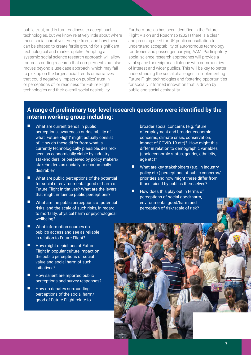public trust, and in turn readiness to accept such technologies, but we know relatively little about where these social narratives emerge from, and how these can be shaped to create fertile ground for significant technological and market uptake. Adopting a systemic social science research approach will allow for cross-cutting research that complements but also moves beyond a use-case approach, which may fail to pick up on the larger social trends or narratives that could negatively impact on publics' trust in or perceptions of, or readiness for Future Flight technologies and their overall social desirability.

Furthermore, as has been identified in the Future Flight Vision and Roadmap (2021) there is a clear and pressing need for UK public consultation to understand acceptability of autonomous technology for drones and passenger carrying AAM. Participatory social science research approaches will provide a vital space for reciprocal dialogue with communities of interest and wider publics. This will be key to better understanding the social challenges in implementing Future Flight technologies and fostering opportunities for socially informed innovation that is driven by public and social desirability.

#### **A range of preliminary top-level research questions were identified by the interim working group including:**

- What are current trends in public perceptions, awareness or desirability of what 'Future Flight' might actually consist of. How do these differ from what is currently technologically plausible, desired/ seen as economically viable by industry stakeholders, or perceived by policy makers/ stakeholders as socially or economically desirable?
- $\blacksquare$  What are public perceptions of the potential for social or environmental good or harm of Future Flight initiatives? What are the levers that might influence public perceptions?
- $\blacksquare$  What are the public perceptions of potential risks, and the scale of such risks, in regard to mortality, physical harm or psychological wellbeing?

broader social concerns (e.g. future of employment and broader economic concerns, climate crisis, conservation, impact of COVID-19 etc)? How might this differ in relation to demographic variables (socioeconomic status, gender, ethnicity, age etc)?

- What are key stakeholders (e.g. in industry, policy etc.) perceptions of public concerns/ priorities and how might these differ from those raised by publics themselves?
- How does this play out in terms of perceptions of social good/harm, environmental good/harm and perception of risk/scale of risk?
- **Now What information sources do** publics access and see as reliable in relation to Future Flight?
- **How might depictions of Future** Flight in popular culture impact on the public perceptions of social value and social harm of such initiatives?
- $\blacksquare$  How salient are reported public perceptions and survey responses?
- **How do debates surrounding** perceptions of the social harm/ good of Future Flight relate to

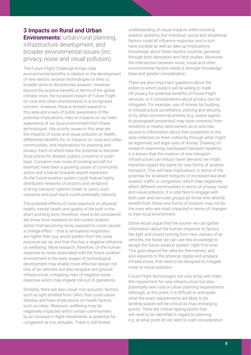### **3 Impacts on Rural and Urban Environments:** urban/rural planning, infrastructure development, and broader environmental issues (inc. privacy, noise and visual pollution).

The Future Flight Challenge brings clear environmental benefits in relation to the development of new electric aviation technologies or links to broader aims to decarbonise aviation. However, beyond the positive benefits in terms of the global climate crisis, the localised impact of Future Flight on rural and urban environments is a recognised concern. However, there is limited research in this area and a lack of public awareness of the potential implications, risks or impacts on our lived experience of our local environment from these technologies. Key priority issues in this area are the impacts of noise and visual pollution on health, differential benefits for, or impacts on, rural and urban communities, and implications for planning and privacy. Each of which have the potential to become focal points for dissent, publics concerns or pushback. Concerns over noise of existing aircraft for example, have been a growing cause of community action and a barrier towards airport expansion. As the future aviation system could feature highly distributed networks of airports and vertiports to bring transport options closer to users, such concerns and push-back could potentially intensify.

The potential effects of noise exposure on physical health, mental health and quality of life both in the short and long term, therefore, need to be considered. We know from research on the current aviation sector that becoming newly exposed to noise causes a change-effect – that is annoyance responses are higher than you would predict from the noise exposure per se, and that this has a negative influence on wellbeing. More research, therefore, on the human response to noise associated with the future aviation environment in the early stages of technological development may enable more effective design not only of air vehicles, but also airspace and ground infrastructure, mitigating risks of negative noise response which may impede roll-out of operations.

Similarly, there are also visual 'non-acoustic' factors, such as light emitted from UAVs, that could cause distress and have implications on health factors, such as sleep. Moreover, wellbeing may be negatively impacted within certain communities by an increase in flight movements or potential for congestion at low altitudes. There is still limited

understanding of visual impacts within existing aviation systems, but individual, social and situational factors could all influence response, and in turn have societal as well as take-up implications. Knowledge about these factors could be garnered through both laboratory and field studies. Moreover, the intersection between noise, visual and other environmental factors needs a stronger knowledge base and greater consideration.

There are also important questions about the extent to which publics will be willing to tradeoff privacy for potential benefits of Future Flight services, or if considerations about privacy can be mitigated. For example, use of drones for building or infrastructure surveillance, policing and security, or by other commercial entities (e.g. estate agents to photograph properties) may raise concerns from residents or nearby land-owners as to who has access to information about their properties or the data collected on them indirectly through what might be legitimate and legal uses of drones. Drawing on research examining road-based transport systems, it is known that the creation of new transport infrastructure can induce travel demand, we might therefore expect the same for new forms of aviation transport. This will have implications in terms of the potential for localised hotspots of increased low-level aviation traffic or congestion, which may negatively affect different communities in terms of privacy, noise and visual pollution. It is vital here to engage with both user and non-user groups as those who directly benefit from these new forms of aviation, may not be the ones who are most impacted in terms of changes to their local environment.

Some would argue that the sooner we can gather information about the human response to factors like light and sound coming from new classes of air vehicles, the faster we can use this knowledge to design the future aviation system 'right first time'. This goes beyond the vehicles themselves, and also expands to the physical, digital and airspace infrastructure, that need to be designed to mitigate noise or visual pollution.

Future Flight technologies not only bring with them the requirement for new infrastructure but also potentially new rural or urban planning requirements. Although, at this point, it is difficult to anticipate what the exact requirements are likely to be. landing spaces will be critical as may recharging points. There are critical tipping points that will need to be identified in regard to planning e.g. at what point do we need to start consideration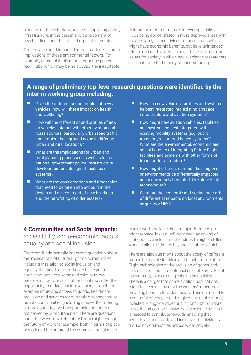of including these factors, such as supporting energy infrastructure, in the design and development of new buildings and the retrofitting of older estates.

There is also need to consider the broader economic implications of these environmental factors. For example, potential implications for house prices near Hubs, which may be noisy. Also, the inequitable

distribution of infrastructure, for example risks of Hubs being concentrated in more deprived areas with cheaper land, or incentivised to these areas which might have economic benefits, but have unintended effects on health and wellbeing. These are important issues for society in which social science researchers can contribute to the body of understanding.

### **A range of preliminary top-level research questions were identified by the interim working group including:**

- Given the different sound profiles of new air vehicles, how will these impact on health and wellbeing?
- $\blacksquare$  How will the different sound profiles of new air vehicles interact with other aviation and noise sources, particularly urban road traffic and ambient background noise in differing urban and rural locations?
- What are the implications for urban and rural planning processes as well as local/ national government policy, infrastructure development and design of facilities or systems?
- What are the considerations and timescales that need to be taken into account in the design and development of new buildings and the retrofitting of older estates?
- How can new vehicles, facilities and systems be best integrated into existing airspace, infrastructure and aviation systems?
- $\blacksquare$  How might new aviation vehicles, facilities and systems be best integrated with existing mobility systems (e.g. public transport, rail or road based systems)? What are the environmental, economic and social benefits of integrating Future Flight facilities and systems with other forms of transport infrastructure?
- $\blacksquare$  How might different communities, regions or environments be differentially impacted on, or conversely benefited, by Future Flight technologies?
- What are the economic and social trade-offs of differential impacts on local environments or quality of life?

#### **4 Communities and Social Impacts:**

accessibility, socio-economic factors, equality and social inclusion.

There are fundamentally important questions about the implications of Future Flight on communities, including in relation to social inclusion and equality that need to be addressed. The potential considerations are diverse and exist at micro, meso, and macro levels. Future Flight may offer the opportunity to reduce social exclusion, through for example improving access to goods, healthcare provision and services for currently disconnected or remote communities (including at speed) or offering a more cost-effective transport solution for areas not served by public transport. There are questions about the ways in which Future Flight might change the future of work for example, both in terms of place of work and the nature of the commute but also the

type of work available. For example, Future Flight might replace 'low-skilled' work such as driving of light goods vehicles on the roads, with higher skilled work as pilots of drones beyond visual line of sight.

There are also questions about the ability of different groups being able to utilise and benefit from Future Flight technologies or the provision of goods and services and if not, the potential risks of Future Flight inadvertently exacerbating existing inequalities. There is a danger that some aviation applications might be seen as 'toys for the wealthy' rather than providing benefits to wider society. There is a need to be mindful of this perception given the public money invested. Alongside wider public consultation, more in-depth and comprehensive social science research is needed to contribute towards ensuring that benefits are accessible and inclusive of individuals, groups or communities across wider society.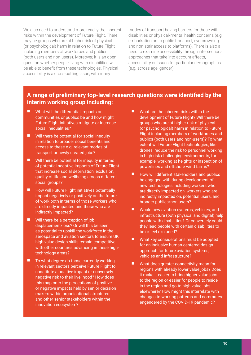We also need to understand more readily the inherent risks within the development of Future Flight. There may be groups who are at higher risk of physical (or psychological) harm in relation to Future Flight including members of workforces and publics (both users and non-users). Moreover, it is an open question whether people living with disabilities will be able to benefit from these technologies. Physical accessibility is a cross-cutting issue, with many

modes of transport having barriers for those with disabilities or physical/mental health concerns (e.g. embarkation on to public transport, overcrowding, and non-stair access to platforms). There is also a need to examine accessibility through intersectional approaches that take into account affects, accessibility or issues for particular demographics (e.g. across age, gender).

#### **A range of preliminary top-level research questions were identified by the interim working group including:**

- What will the differential impacts on communities or publics be and how might Future Flight initiatives mitigate or increase social inequalities?
- $\blacksquare$  Will there be potential for social inequity in relation to broader social benefits and access to these e.g. relevant modes of transport or newly created jobs?
- $\blacksquare$  Will there be potential for inequity in terms of potential negative impacts of Future Flight that increase social deprivation, exclusion, quality of life and wellbeing across different social groups?
- $\blacksquare$  How will Future Flight initiatives potentially impact negatively or positively on the future of work both in terms of those workers who are directly impacted and those who are indirectly impacted?
- Will there be a perception of job displacement/loss? Or will this be seen as potential to upskill the workforce in the aerospace and aviation sectors to ensure UK high value design skills remain competitive with other countries advancing in these hightechnology areas?
- $\blacksquare$  To what degree do those currently working in relevant sectors perceive Future Flight to constitute a positive impact or conversely negative risk to their livelihood? How does this map onto the perceptions of positive or negative impacts held by senior decision makers within organisational structures and other senior stakeholders within the innovation ecosystem?
- What are the inherent risks within the development of Future Flight? Will there be groups who are at higher risk of physical (or psychological) harm in relation to Future Flight including members of workforces and publics (both users and non-users)? To what extent will Future Flight technologies, like drones, reduce the risk to personnel working in high-risk challenging environments, for example, working at heights or inspection of powerlines and offshore wind farms?
- $\blacksquare$  How will different stakeholders and publics be engaged with during development of new technologies including workers who are directly impacted on, workers who are indirectly impacted on, potential users, and broader publics/non-users?
- **Would new aviation systems, vehicles, and** infrastructure (both physical and digital) help people with disabilities? Or conversely could they lead people with certain disabilities to be or feel excluded?
- **Now What key considerations must be adopted** for an inclusive human-centered design approach for future aviation systems, vehicles and infrastructure?
- What does greater connectivity mean for regions with already lower value jobs? Does it make it easier to bring higher value jobs to the region or easier for people to reside in the region and go to high value jobs elsewhere? How might this interrelate with changes to working patterns and commutes engendered by the COVID-19 pandemic?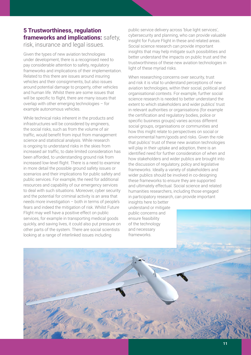## **5 Trustworthiness, regulation frameworks and implications:** safety,

risk, insurance and legal issues.

Given the types of new aviation technologies under development, there is a recognised need to pay considerable attention to safety, regulatory frameworks and implications of their implementation. Related to this there are issues around insuring vehicles and their consignments, but also issues around potential damage to property, other vehicles and human life. Whilst there are some issues that will be specific to flight, there are many issues that overlap with other emerging technologies – for example autonomous vehicles.

While technical risks inherent in the products and infrastructures will be considered by engineers, the social risks, such as from the volume of air traffic, would benefit from input from management science and statistical analysis. While research is ongoing to understand risks in the skies from increased air traffic, to date limited consideration has been afforded, to understanding ground risk from increased low-level flight. There is a need to examine in more detail the possible ground safety issues or scenarios and their implications for public safety and public services. For example, the need for additional resources and capability of our emergency services to deal with such situations. Moreover, cyber security and the potential for criminal activity is an area that needs more investigation – both in terms of people's fears and indeed the mitigation of risk. Whilst Future Flight may well have a positive effect on public services, for example in transporting medical goods quickly, and saving lives, it could also put pressure on other parts of the system. There are social scientists looking at a range of interlinked issues including

public service delivery across 'blue light services', cybersecurity and planning, who can provide valuable insight for Future Flight in these and related areas. Social science research can provide important insights that may help mitigate such possibilities and better understand the impacts on public trust and the trustworthiness of these new aviation technologies in light of these myriad risks.

When researching concerns over security, trust and risk it is vital to understand perceptions of new aviation technologies, within their social, political and organisational contexts. For example, further social science research is needed to better understand the extent to which stakeholders and wider publics' trust in relevant authorities or organisations (for example the certification and regulatory bodies, police or specific business groups) varies across different social groups, organisations or communities and how this might relate to perspectives on social or environmental harm/goods and risks. Given the role that publics' trust of these new aviation technologies will play in their uptake and adoption, there is an identified need for further consideration of when and how stakeholders and wider publics are brought into the discussion of regulatory, policy and legislative frameworks. Ideally a variety of stakeholders and wider publics should be involved in co-designing these frameworks to ensure they are supported and ultimately effectual. Social science and related humanities researchers, including those engaged in participatory research, can provide important

insights here to better understand or mitigate public concerns and ensure feasibility of the technology and necessary frameworks.

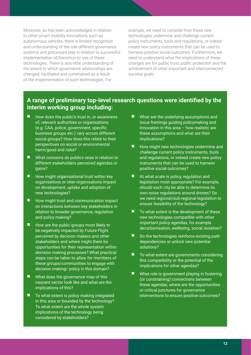Moreover, as has been acknowledged in relation to other smart mobility innovations such as autonomous vehicles, there is limited recognition and understanding of the role different governance systems and processes play in relation to successful implementation of/transition to use of these technologies. There is also little understanding of the extent to which governance relationships are changed, facilitated and constrained as a result of the implementation of such technologies. For

example, we need to consider how these new technologies undermine and challenge current policy instruments, tools and regulations, or indeed create new policy instruments that can be used to harness positive social outcomes. Furthermore, we need to understand what the implications of these changes are for public trust, public protection and the achievement of other important and interconnected societal goals.

#### **A range of preliminary top-level research questions were identified by the interim working group including:**

- $\blacksquare$  How does the public's trust in, or awareness of, relevant authorities or organisations (e.g. CAA, police, government, specific business groups etc.) vary across different social groups? How does this relate to their perspectives on social or environmental harm/good and risks?
- What concerns do publics raise in relation to different stakeholders perceived agendas or gains?
- $\blacksquare$  How might organisational trust within key organisations or inter-organisations impact on development, uptake and adoption of new technologies?
- **How might trust and communication impact** on interactions between key stakeholders in relation to broader governance, regulation and policy making?
- $\blacksquare$  How are the public groups most likely to be negatively impacted by Future Flight perceived by decision makers and other stakeholders and where might there be opportunities for their representation within decision making processes? What practical steps can be taken to allow for members of these groups/communities to engage with decision making/ policy in this domain?
- What does the governance map of this nascent sector look like and what are the implications of this?
- $\blacksquare$  To what extent is policy making integrated in this area or bounded by the technology? To what extent are the whole system implications of the technology being considered by stakeholders?
- **Now What are the underlying assumptions and** issue framings guiding policymaking and innovation in this area – how realistic are these assumptions and what are their implications?
- How might new technologies undermine and challenge current policy instruments, tools and regulations, or indeed create new policy instruments that can be used to harness positive social outcomes?
- At what scale is policy, regulation and legislation most appropriate? For example, should each city be able to determine its own noise regulations around drones? Do we need regional/sub-regional legislation to ensure feasibility of the technology?
- $\blacksquare$  To what extent is the development of these new technologies compatible with other important policy agendas, for example decarbonisation, wellbeing, social isolation?
- Do the technologies reinforce existing path dependencies or unlock new potential solutions?
- $\blacksquare$  To what extent are governments considering this compatibility or the potential of the implications for other agendas?
- What role is government playing in fostering (or constraining) connections between these agendas, where are the opportunities or critical junctures for governance interventions to ensure positive outcomes?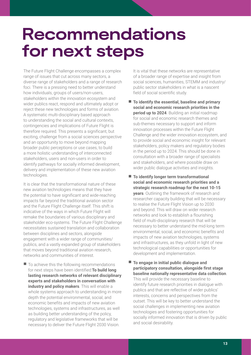# **Recommendations for next steps**

The Future Flight Challenge encompasses a complex range of issues that cut across many sectors, a diverse range of stakeholders and a range of research foci. There is a pressing need to better understand how individuals, groups of users/non-users, stakeholders within the innovation ecosystem and wider publics react, respond and ultimately adopt or reject these new technologies and forms of aviation. A systematic multi-disciplinary based approach to understanding the social and cultural contexts, contingencies and implications of Future Flight is therefore required. This presents a significant, but exciting, challenge from a social sciences perspective and an opportunity to move beyond mapping broader public perceptions or use cases, to build a more holistic understanding of interconnected stakeholders, users and non-users in order to identify pathways for socially informed development, delivery and implementation of these new aviation technologies.

It is clear that the transformational nature of these new aviation technologies means that they have the potential to have significant and wide-reaching impacts far beyond the traditional aviation sector and the Future Flight Challenge itself. This shift is indicative of the ways in which Future Flight will remake the boundaries of various disciplinary and stakeholder eco-systems. The Future Flight Challenge necessitates sustained translation and collaboration between disciplines and sectors, alongside engagement with a wider range of communities/ publics, and a vastly expanded group of stakeholders that moves beyond traditional aviation research, networks and communities of interest.

 $\blacksquare$  To achieve this the following recommendations for next steps have been identified:**To build long lasting research networks of relevant disciplinary experts and stakeholders in conversation with industry and policy makers**. This will enable a whole systems approach to understanding in more depth the potential environmental, social, and economic benefits and impacts of new aviation technologies, systems and infrastructures, as well as building better understanding of the policy, regulatory and legislative frameworks that will be necessary to deliver the Future Flight 2030 Vision.

It is vital that these networks are representative of a broader range of expertise and insight from social sciences, humanities, STEMM and industry/ public sector stakeholders in what is a nascent field of social scientific study.

- To identify the essential, baseline and primary **social and economic research priorities in the period up to 2024**. Building an initial roadmap for social and economic research themes and sub-themes necessary to support and inform innovation processes within the Future Flight Challenge and the wider innovation ecosystem, and to provide social and economic insight for relevant stakeholders, policy makers and regulatory bodies in the period up to 2024. This should be done in consultation with a broader range of specialists and stakeholders, and where possible draw on wider public dialogue activities and insights.
- To identify longer term transformational **social and economic research priorities and a strategic research roadmap for the next 10-15 years**. Outlining the framework of research and researcher capacity building that will be necessary to realise the Future Flight Vision up to 2030 and beyond. This will draw on wider research networks and look to establish a flourishing field of multi-disciplinary research that will be necessary to better understand the mid-long term environmental, social, and economic benefits and impacts of new aviation technologies, systems and infrastructures, as they unfold in light of new technological capabilities or opportunities for development and implementation.
- To engage in initial public dialogue and **participatory consultation, alongside first stage baseline nationally representative data collection**. This will provide the necessary baseline to identify future research priorities in dialogue with publics and that are reflective of wider publics' interests, concerns and perspectives from the outset. This will be key to better understand the social challenges in implementing new aviation technologies and fostering opportunities for socially informed innovation that is driven by public and social desirability.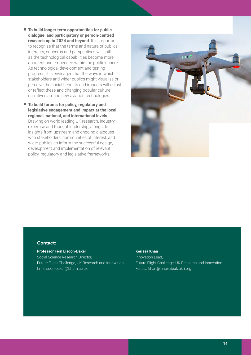■ To build longer term opportunities for public **dialogue, and participatory or person-centred research up to 2024 and beyond**. It is important to recognise that the terms and nature of publics' interests, concerns and perspectives will shift as the technological capabilities become more apparent and embedded within the public sphere. As technological development and testing progress, it is envisaged that the ways in which stakeholders and wider publics might visualise or perceive the social benefits and impacts will adjust or reflect these and changing popular culture narratives around new aviation technologies.

■ To build forums for policy, regulatory and **legislative engagement and impact at the local, regional, national, and international levels**. Drawing on world leading UK research, industry expertise and thought leadership, alongside insights from upstream and ongoing dialogues with stakeholders, communities of interest, and wider publics, to inform the successful design, development and implementation of relevant policy, regulatory and legislative frameworks.



#### **Contact:**

#### **Professor Fern Elsdon-Baker**

Social Science Research Director, Future Flight Challenge, UK Research and Innovation f.m.elsdon-baker@bham.ac.uk

#### **Kerissa Khan**

Innovation Lead, Future Flight Challenge, UK Research and Innovation kerissa.khan@innovateuk.ukri.org